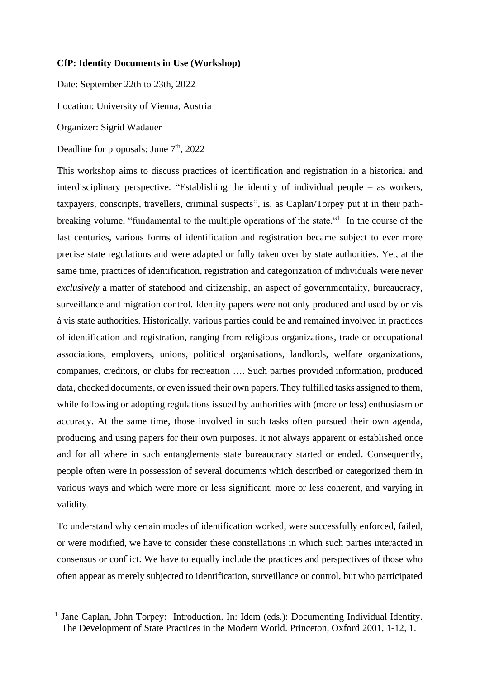## **CfP: Identity Documents in Use (Workshop)**

Date: September 22th to 23th, 2022

Location: University of Vienna, Austria

Organizer: Sigrid Wadauer

Deadline for proposals: June 7<sup>th</sup>, 2022

This workshop aims to discuss practices of identification and registration in a historical and interdisciplinary perspective. "Establishing the identity of individual people – as workers, taxpayers, conscripts, travellers, criminal suspects", is, as Caplan/Torpey put it in their pathbreaking volume, "fundamental to the multiple operations of the state." In the course of the last centuries, various forms of identification and registration became subject to ever more precise state regulations and were adapted or fully taken over by state authorities. Yet, at the same time, practices of identification, registration and categorization of individuals were never *exclusively* a matter of statehood and citizenship, an aspect of governmentality, bureaucracy, surveillance and migration control. Identity papers were not only produced and used by or vis á vis state authorities. Historically, various parties could be and remained involved in practices of identification and registration, ranging from religious organizations, trade or occupational associations, employers, unions, political organisations, landlords, welfare organizations, companies, creditors, or clubs for recreation …. Such parties provided information, produced data, checked documents, or even issued their own papers. They fulfilled tasks assigned to them, while following or adopting regulations issued by authorities with (more or less) enthusiasm or accuracy. At the same time, those involved in such tasks often pursued their own agenda, producing and using papers for their own purposes. It not always apparent or established once and for all where in such entanglements state bureaucracy started or ended. Consequently, people often were in possession of several documents which described or categorized them in various ways and which were more or less significant, more or less coherent, and varying in validity.

To understand why certain modes of identification worked, were successfully enforced, failed, or were modified, we have to consider these constellations in which such parties interacted in consensus or conflict. We have to equally include the practices and perspectives of those who often appear as merely subjected to identification, surveillance or control, but who participated

<sup>1</sup> Jane Caplan, John Torpey: Introduction. In: Idem (eds.): Documenting Individual Identity. The Development of State Practices in the Modern World. Princeton, Oxford 2001, 1-12, 1.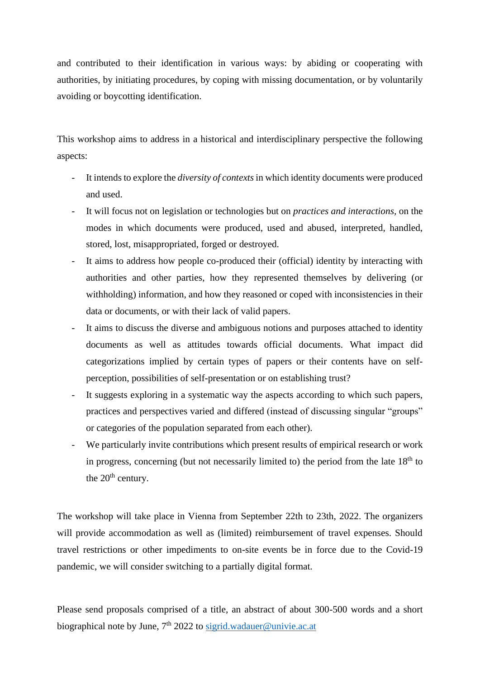and contributed to their identification in various ways: by abiding or cooperating with authorities, by initiating procedures, by coping with missing documentation, or by voluntarily avoiding or boycotting identification.

This workshop aims to address in a historical and interdisciplinary perspective the following aspects:

- It intends to explore the *diversity of contexts* in which identity documents were produced and used.
- It will focus not on legislation or technologies but on *practices and interactions,* on the modes in which documents were produced, used and abused, interpreted, handled, stored, lost, misappropriated, forged or destroyed.
- It aims to address how people co-produced their (official) identity by interacting with authorities and other parties, how they represented themselves by delivering (or withholding) information, and how they reasoned or coped with inconsistencies in their data or documents, or with their lack of valid papers.
- It aims to discuss the diverse and ambiguous notions and purposes attached to identity documents as well as attitudes towards official documents. What impact did categorizations implied by certain types of papers or their contents have on selfperception, possibilities of self-presentation or on establishing trust?
- It suggests exploring in a systematic way the aspects according to which such papers, practices and perspectives varied and differed (instead of discussing singular "groups" or categories of the population separated from each other).
- We particularly invite contributions which present results of empirical research or work in progress, concerning (but not necessarily limited to) the period from the late  $18<sup>th</sup>$  to the  $20<sup>th</sup>$  century.

The workshop will take place in Vienna from September 22th to 23th, 2022. The organizers will provide accommodation as well as (limited) reimbursement of travel expenses. Should travel restrictions or other impediments to on-site events be in force due to the Covid-19 pandemic, we will consider switching to a partially digital format.

Please send proposals comprised of a title, an abstract of about 300-500 words and a short biographical note by June,  $7<sup>th</sup> 2022$  to [sigrid.wadauer@univie.ac.at](mailto:sigrid.wadauer@univie.ac.at)